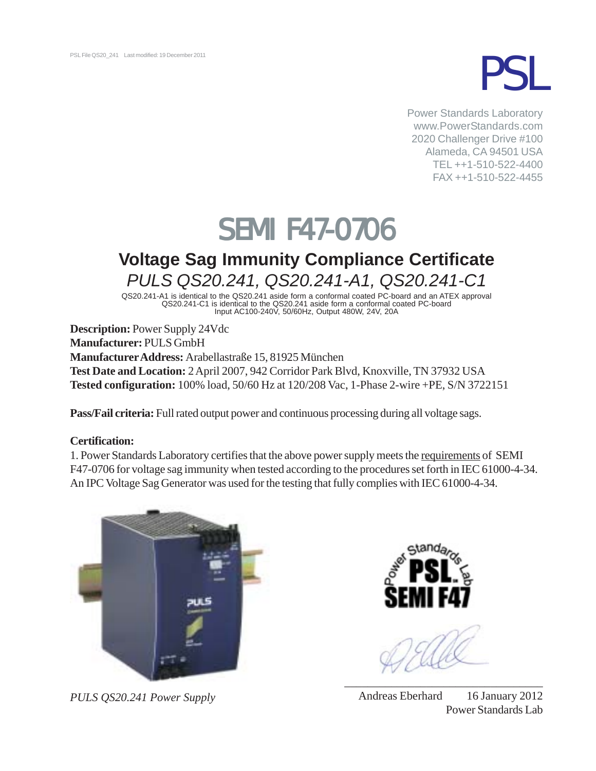

Power Standards Laboratory www.PowerStandards.com 2020 Challenger Drive #100 Alameda, CA 94501 USA TEL ++1-510-522-4400 FAX ++1-510-522-4455

# **SEMI F47-0706**

# **Voltage Sag Immunity Compliance Certificate** *PULS QS20.241, QS20.241-A1, QS20.241-C1*

QS20.241-A1 is identical to the QS20.241 aside form a conformal coated PC-board and an ATEX approval QS20.241-C1 is identical to the QS20.241 aside form a conformal coated PC-board Input AC100-240V, 50/60Hz, Output 480W, 24V, 20A

**Description:** Power Supply 24Vdc **Manufacturer:** PULS GmbH **Manufacturer Address:** Arabellastraße 15, 81925 München **Test Date and Location:** 2 April 2007, 942 Corridor Park Blvd, Knoxville, TN 37932 USA **Tested configuration:** 100% load, 50/60 Hz at 120/208 Vac, 1-Phase 2-wire +PE, S/N 3722151

**Pass/Fail criteria:** Full rated output power and continuous processing during all voltage sags.

# **Certification:**

1. Power Standards Laboratory certifies that the above power supply meets the requirements of SEMI F47-0706 for voltage sag immunity when tested according to the procedures set forth in IEC 61000-4-34. An IPC Voltage Sag Generator was used for the testing that fully complies with IEC 61000-4-34.



*PULS QS20.241 Power Supply*



Andreas Eberhard 16 January 2012 Power Standards Lab

\_\_\_\_\_\_\_\_\_\_\_\_\_\_\_\_\_\_\_\_\_\_\_\_\_\_\_\_\_\_\_\_\_\_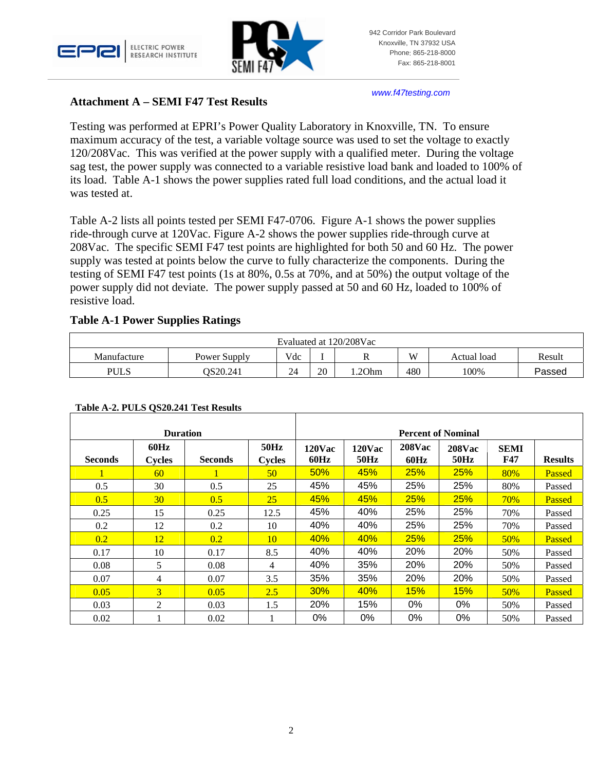



*www.f47testing.com*

## **Attachment A – SEMI F47 Test Results**

Testing was performed at EPRI's Power Quality Laboratory in Knoxville, TN. To ensure maximum accuracy of the test, a variable voltage source was used to set the voltage to exactly 120/208Vac. This was verified at the power supply with a qualified meter. During the voltage sag test, the power supply was connected to a variable resistive load bank and loaded to 100% of its load. Table A-1 shows the power supplies rated full load conditions, and the actual load it was tested at.

Table A-2 lists all points tested per SEMI F47-0706. Figure A-1 shows the power supplies ride-through curve at 120Vac. Figure A-2 shows the power supplies ride-through curve at 208Vac. The specific SEMI F47 test points are highlighted for both 50 and 60 Hz. The power supply was tested at points below the curve to fully characterize the components. During the testing of SEMI F47 test points (1s at 80%, 0.5s at 70%, and at 50%) the output voltage of the power supply did not deviate. The power supply passed at 50 and 60 Hz, loaded to 100% of resistive load.

## **Table A-1 Power Supplies Ratings**

| Evaluated at 120/208Vac |                  |     |    |        |     |             |        |
|-------------------------|------------------|-----|----|--------|-----|-------------|--------|
| Manufacture             | Power Supply     | Vdc |    |        | W   | Actual load | Result |
| PULS                    | <b>COS20.241</b> | 24  | 20 | 1.20hm | 480 | 100%        | Passed |

#### **Table A-2. PULS QS20.241 Test Results**

| <b>Duration</b> |                       |                |                       | <b>Percent of Nominal</b> |                       |                       |                       |                           |                |  |
|-----------------|-----------------------|----------------|-----------------------|---------------------------|-----------------------|-----------------------|-----------------------|---------------------------|----------------|--|
| <b>Seconds</b>  | 60Hz<br><b>Cycles</b> | <b>Seconds</b> | 50Hz<br><b>Cycles</b> | <b>120Vac</b><br>60Hz     | <b>120Vac</b><br>50Hz | <b>208Vac</b><br>60Hz | <b>208Vac</b><br>50Hz | <b>SEMI</b><br><b>F47</b> | <b>Results</b> |  |
|                 | 60                    |                | 50                    | 50%                       | 45%                   | 25%                   | 25%                   | 80%                       | Passed         |  |
| 0.5             | 30                    | 0.5            | 25                    | 45%                       | 45%                   | 25%                   | 25%                   | 80%                       | Passed         |  |
| 0.5             | 30 <sup>°</sup>       | 0.5            | 25                    | 45%                       | 45%                   | <b>25%</b>            | 25%                   | 70%                       | Passed         |  |
| 0.25            | 15                    | 0.25           | 12.5                  | 45%                       | 40%                   | 25%                   | 25%                   | 70%                       | Passed         |  |
| 0.2             | 12                    | 0.2            | 10                    | 40%                       | 40%                   | 25%                   | 25%                   | 70%                       | Passed         |  |
| 0.2             | 12                    | 0.2            | 10                    | 40%                       | 40%                   | <b>25%</b>            | 25%                   | 50%                       | Passed         |  |
| 0.17            | 10                    | 0.17           | 8.5                   | 40%                       | 40%                   | 20%                   | 20%                   | 50%                       | Passed         |  |
| 0.08            | 5                     | 0.08           | 4                     | 40%                       | 35%                   | 20%                   | 20%                   | 50%                       | Passed         |  |
| 0.07            | 4                     | 0.07           | 3.5                   | 35%                       | 35%                   | 20%                   | 20%                   | 50%                       | Passed         |  |
| 0.05            | 3                     | 0.05           | 2.5                   | 30%                       | 40%                   | 15%                   | 15%                   | 50%                       | Passed         |  |
| 0.03            | 2                     | 0.03           | 1.5                   | 20%                       | 15%                   | 0%                    | 0%                    | 50%                       | Passed         |  |
| 0.02            |                       | 0.02           |                       | 0%                        | 0%                    | 0%                    | 0%                    | 50%                       | Passed         |  |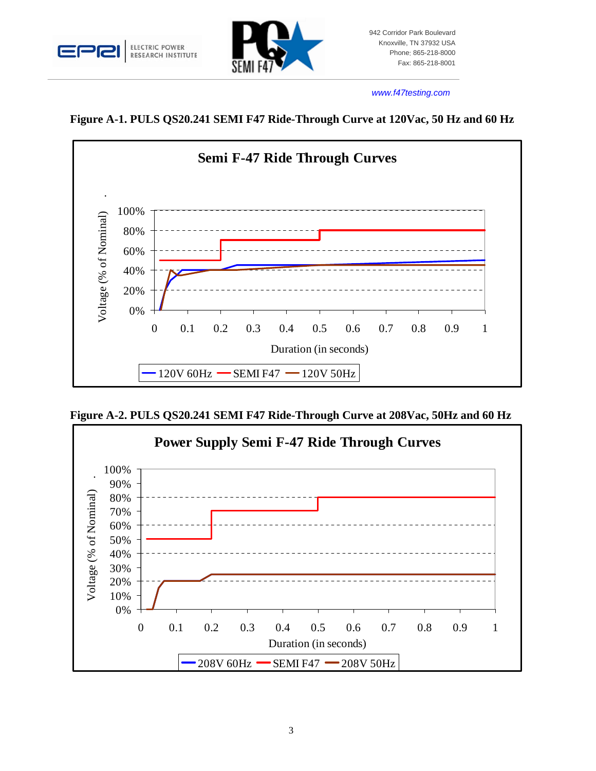



#### *www.f47testing.com*

**Figure A-1. PULS QS20.241 SEMI F47 Ride-Through Curve at 120Vac, 50 Hz and 60 Hz** 



**Figure A-2. PULS QS20.241 SEMI F47 Ride-Through Curve at 208Vac, 50Hz and 60 Hz** 

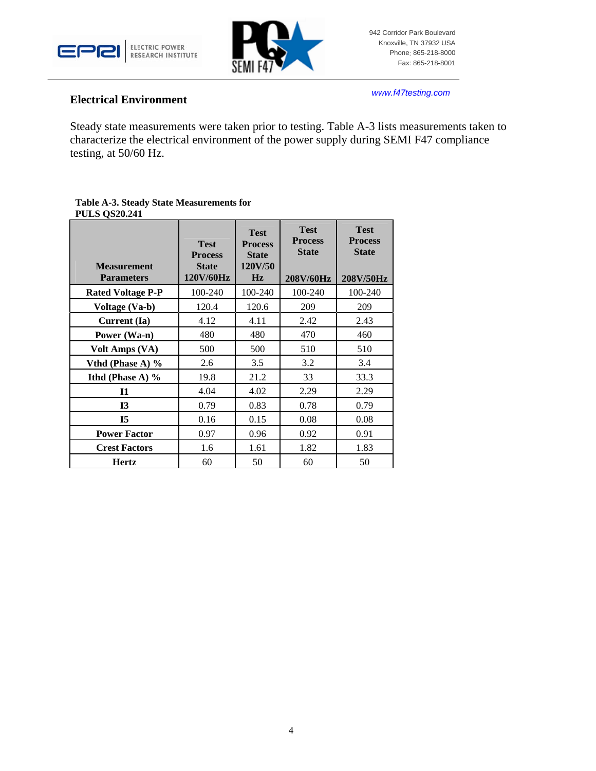



#### **Electrical Environment**

*www.f47testing.com*

Steady state measurements were taken prior to testing. Table A-3 lists measurements taken to characterize the electrical environment of the power supply during SEMI F47 compliance testing, at 50/60 Hz.

#### **Table A-3. Steady State Measurements for PULS QS20.241**

| <b>Measurement</b>       | <b>Test</b><br><b>Process</b> | <b>Test</b><br><b>Process</b><br><b>State</b><br>120V/50 | <b>Test</b><br><b>Process</b><br><b>State</b> | <b>Test</b><br><b>Process</b><br><b>State</b> |
|--------------------------|-------------------------------|----------------------------------------------------------|-----------------------------------------------|-----------------------------------------------|
| <b>Parameters</b>        | <b>State</b><br>120V/60Hz     | Hz                                                       | 208V/60Hz                                     | 208V/50Hz                                     |
| <b>Rated Voltage P-P</b> | 100-240                       | 100-240                                                  | 100-240                                       | 100-240                                       |
| Voltage (Va-b)           | 120.4                         | 120.6                                                    | 209                                           | 209                                           |
| Current (Ia)             | 4.12                          | 4.11                                                     | 2.42                                          | 2.43                                          |
| Power (Wa-n)             | 480                           | 480                                                      | 470                                           | 460                                           |
| Volt Amps (VA)           | 500                           | 500                                                      | 510                                           | 510                                           |
| Vthd (Phase A) $%$       | 2.6                           | 3.5                                                      | 3.2                                           | 3.4                                           |
| Ithd (Phase A) $\%$      | 19.8                          | 21.2                                                     | 33                                            | 33.3                                          |
| 11                       | 4.04                          | 4.02                                                     | 2.29                                          | 2.29                                          |
| <b>I3</b>                | 0.79                          | 0.83                                                     | 0.78                                          | 0.79                                          |
| <b>I5</b>                | 0.16                          | 0.15                                                     | 0.08                                          | 0.08                                          |
| <b>Power Factor</b>      | 0.97                          | 0.96                                                     | 0.92                                          | 0.91                                          |
| <b>Crest Factors</b>     | 1.6                           | 1.61                                                     | 1.82                                          | 1.83                                          |
| <b>Hertz</b>             | 60                            | 50                                                       | 60                                            | 50                                            |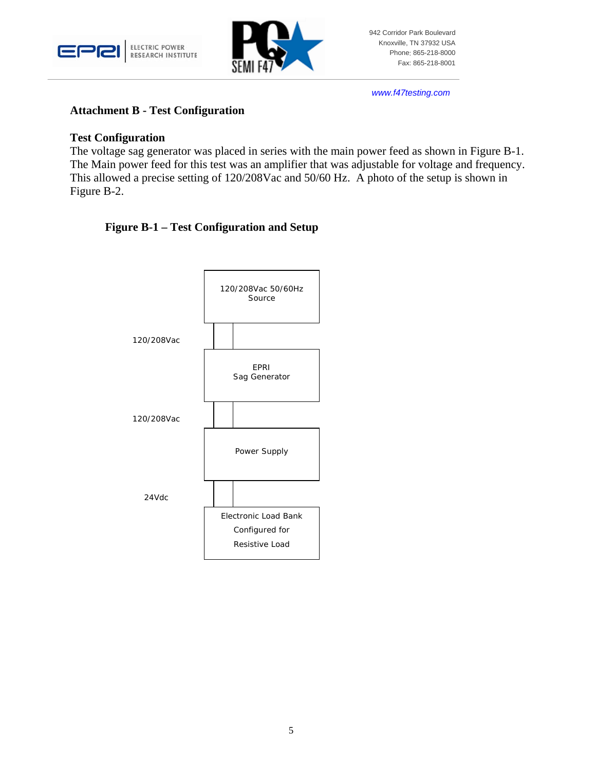



*www.f47testing.com*

#### **Attachment B - Test Configuration**

#### **Test Configuration**

The voltage sag generator was placed in series with the main power feed as shown in Figure B-1. The Main power feed for this test was an amplifier that was adjustable for voltage and frequency. This allowed a precise setting of 120/208Vac and 50/60 Hz. A photo of the setup is shown in Figure B-2.

# **Figure B-1 – Test Configuration and Setup**